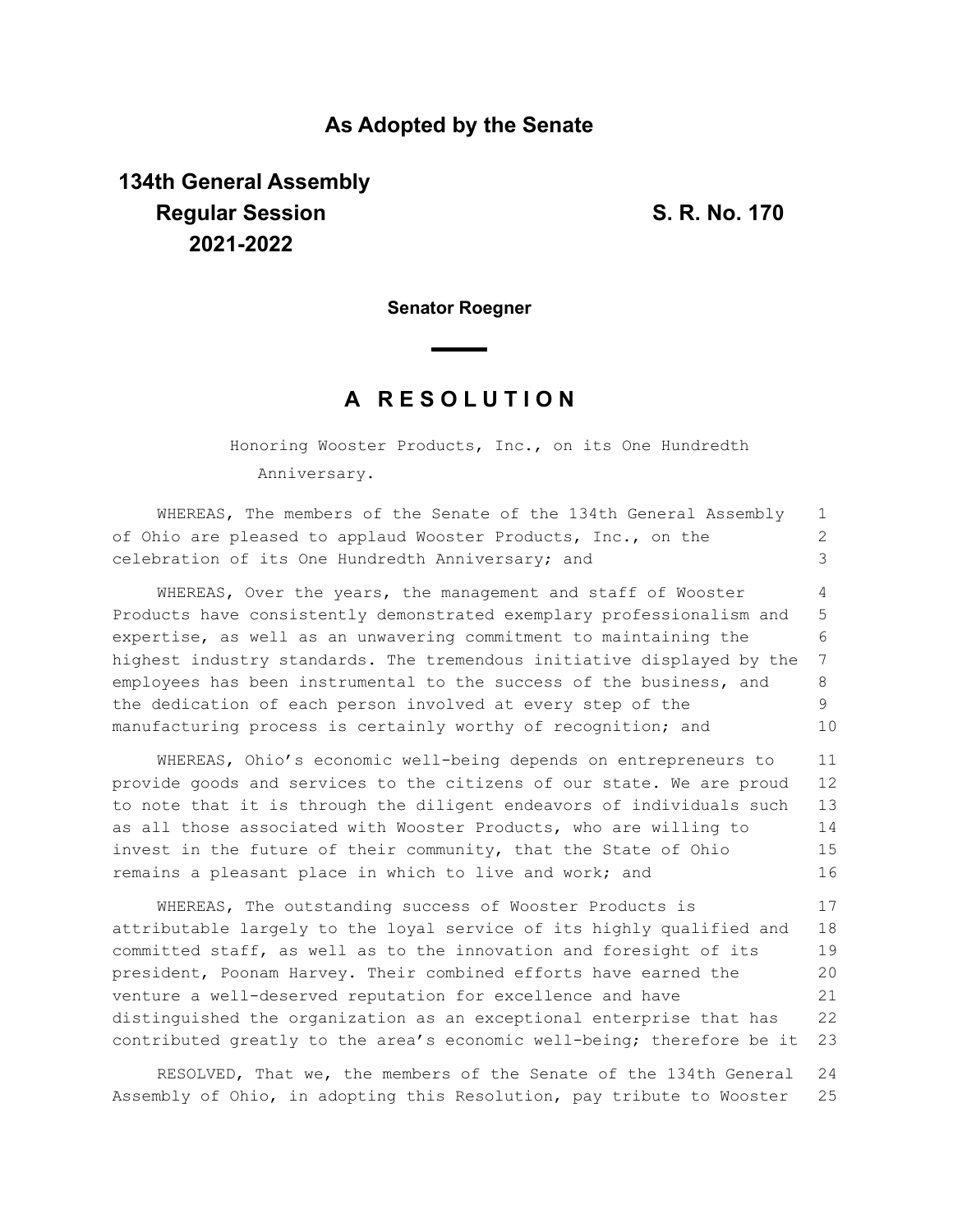### **As Adopted by the Senate**

# **134th General Assembly Regular Session S. R. No. 170 2021-2022**

**Senator Roegner**

## **A R E S O L U T I O N**

Honoring Wooster Products, Inc., on its One Hundredth Anniversary.

WHEREAS, The members of the Senate of the 134th General Assembly of Ohio are pleased to applaud Wooster Products, Inc., on the celebration of its One Hundredth Anniversary; and WHEREAS, Over the years, the management and staff of Wooster Products have consistently demonstrated exemplary professionalism and expertise, as well as an unwavering commitment to maintaining the highest industry standards. The tremendous initiative displayed by the employees has been instrumental to the success of the business, and the dedication of each person involved at every step of the manufacturing process is certainly worthy of recognition; and 1 2 3 4 5 6 7 8 9 10

WHEREAS, Ohio's economic well-being depends on entrepreneurs to provide goods and services to the citizens of our state. We are proud to note that it is through the diligent endeavors of individuals such as all those associated with Wooster Products, who are willing to invest in the future of their community, that the State of Ohio remains a pleasant place in which to live and work; and 11 12 13 14 15 16

WHEREAS, The outstanding success of Wooster Products is attributable largely to the loyal service of its highly qualified and committed staff, as well as to the innovation and foresight of its president, Poonam Harvey. Their combined efforts have earned the venture a well-deserved reputation for excellence and have distinguished the organization as an exceptional enterprise that has contributed greatly to the area's economic well-being; therefore be it 17 18 19 20 21 22 23

RESOLVED, That we, the members of the Senate of the 134th General Assembly of Ohio, in adopting this Resolution, pay tribute to Wooster 24 25